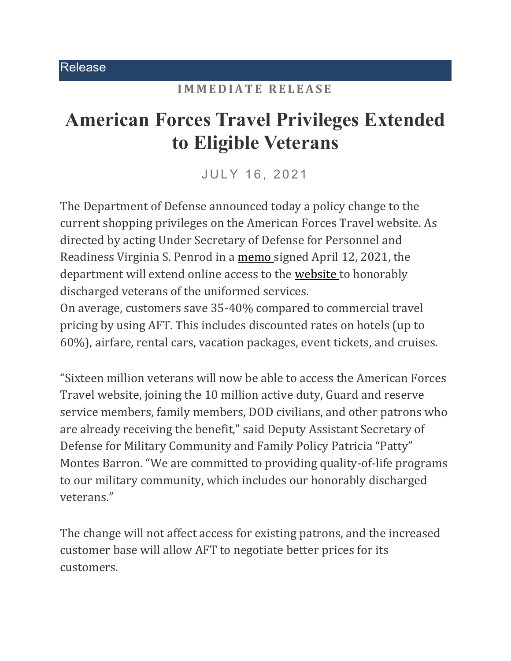## **IMMEDIATE RELEASE**

## **American Forces Travel Privileges Extended to Eligible Veterans**

JULY 16, 2021

The Department of Defense announced today a policy change to the current shopping privileges on the American Forces Travel website. As directed by acting Under Secretary of Defense for Personnel and Readiness Virginia S. Penrod in a [memo](https://www.esd.whs.mil/Portals/54/Documents/DD/issuances/dtm/DTM-21-003.PDF?ver=tBL22TPfvzhPX8XBw7IW1A%3D%3D) signed April 12, 2021, the department will extend online access to the [website](https://www.americanforcestravel.com/) to honorably discharged veterans of the uniformed services.

On average, customers save 35-40% compared to commercial travel pricing by using AFT. This includes discounted rates on hotels (up to 60%), airfare, rental cars, vacation packages, event tickets, and cruises.

"Sixteen million veterans will now be able to access the American Forces Travel website, joining the 10 million active duty, Guard and reserve service members, family members, DOD civilians, and other patrons who are already receiving the benefit," said Deputy Assistant Secretary of Defense for Military Community and Family Policy Patricia "Patty" Montes Barron. "We are committed to providing quality-of-life programs to our military community, which includes our honorably discharged veterans."

The change will not affect access for existing patrons, and the increased customer base will allow AFT to negotiate better prices for its customers.